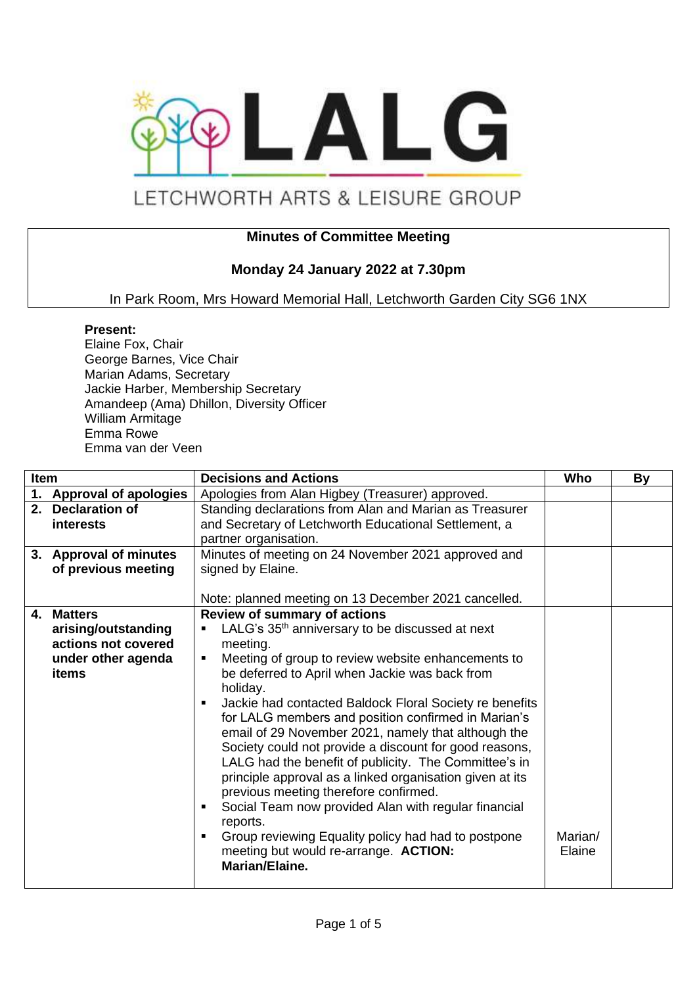

# LETCHWORTH ARTS & LEISURE GROUP

## **Minutes of Committee Meeting**

## **Monday 24 January 2022 at 7.30pm**

In Park Room, Mrs Howard Memorial Hall, Letchworth Garden City SG6 1NX

#### **Present:**

Elaine Fox, Chair George Barnes, Vice Chair Marian Adams, Secretary Jackie Harber, Membership Secretary Amandeep (Ama) Dhillon, Diversity Officer William Armitage Emma Rowe Emma van der Veen

| <b>Item</b> |                          | <b>Decisions and Actions</b>                                | Who     | By |
|-------------|--------------------------|-------------------------------------------------------------|---------|----|
|             | 1. Approval of apologies | Apologies from Alan Higbey (Treasurer) approved.            |         |    |
|             | 2. Declaration of        | Standing declarations from Alan and Marian as Treasurer     |         |    |
|             | <i>interests</i>         | and Secretary of Letchworth Educational Settlement, a       |         |    |
|             |                          | partner organisation.                                       |         |    |
|             | 3. Approval of minutes   | Minutes of meeting on 24 November 2021 approved and         |         |    |
|             | of previous meeting      | signed by Elaine.                                           |         |    |
|             |                          |                                                             |         |    |
|             |                          | Note: planned meeting on 13 December 2021 cancelled.        |         |    |
| 4.          | <b>Matters</b>           | <b>Review of summary of actions</b>                         |         |    |
|             | arising/outstanding      | LALG's 35 <sup>th</sup> anniversary to be discussed at next |         |    |
|             | actions not covered      | meeting.                                                    |         |    |
|             | under other agenda       | Meeting of group to review website enhancements to<br>п     |         |    |
|             | items                    | be deferred to April when Jackie was back from              |         |    |
|             |                          | holiday.                                                    |         |    |
|             |                          | Jackie had contacted Baldock Floral Society re benefits     |         |    |
|             |                          | for LALG members and position confirmed in Marian's         |         |    |
|             |                          | email of 29 November 2021, namely that although the         |         |    |
|             |                          | Society could not provide a discount for good reasons,      |         |    |
|             |                          | LALG had the benefit of publicity. The Committee's in       |         |    |
|             |                          | principle approval as a linked organisation given at its    |         |    |
|             |                          | previous meeting therefore confirmed.                       |         |    |
|             |                          | Social Team now provided Alan with regular financial        |         |    |
|             |                          | reports.                                                    |         |    |
|             |                          | Group reviewing Equality policy had had to postpone         | Marian/ |    |
|             |                          | meeting but would re-arrange. ACTION:                       | Elaine  |    |
|             |                          | Marian/Elaine.                                              |         |    |
|             |                          |                                                             |         |    |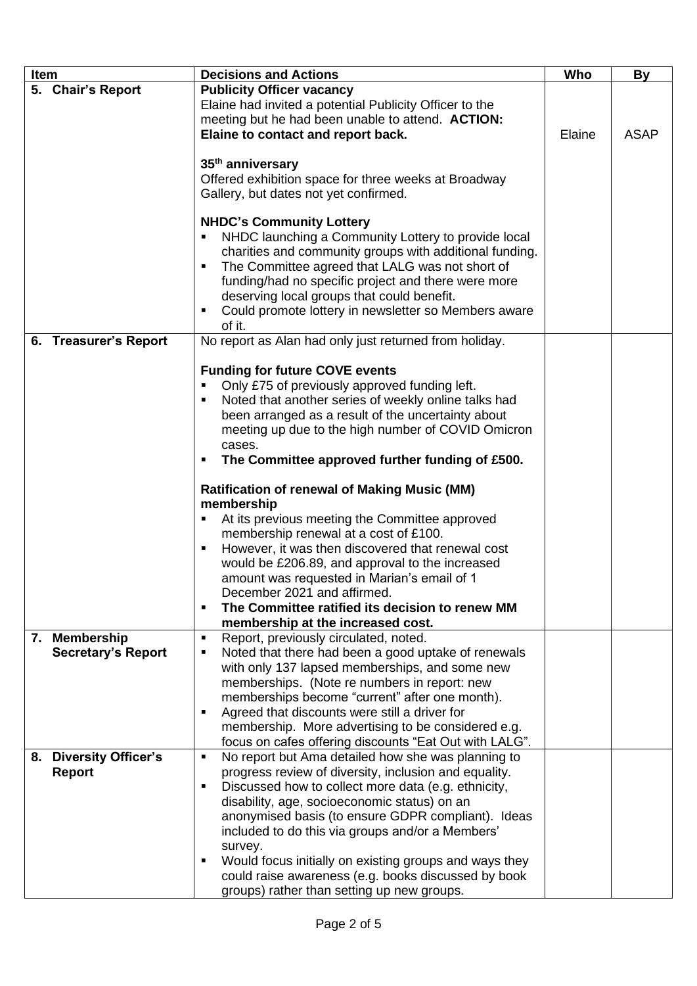| <b>Item</b> |                                            | <b>Decisions and Actions</b>                                                                                                                                                                                                                                                                                                                                                                                                                                                                                                                                                                                                                                                                                                                       | Who    | <b>By</b>   |
|-------------|--------------------------------------------|----------------------------------------------------------------------------------------------------------------------------------------------------------------------------------------------------------------------------------------------------------------------------------------------------------------------------------------------------------------------------------------------------------------------------------------------------------------------------------------------------------------------------------------------------------------------------------------------------------------------------------------------------------------------------------------------------------------------------------------------------|--------|-------------|
|             |                                            |                                                                                                                                                                                                                                                                                                                                                                                                                                                                                                                                                                                                                                                                                                                                                    |        |             |
|             | 5. Chair's Report                          | <b>Publicity Officer vacancy</b><br>Elaine had invited a potential Publicity Officer to the<br>meeting but he had been unable to attend. ACTION:<br>Elaine to contact and report back.                                                                                                                                                                                                                                                                                                                                                                                                                                                                                                                                                             | Elaine | <b>ASAP</b> |
|             |                                            | 35 <sup>th</sup> anniversary<br>Offered exhibition space for three weeks at Broadway<br>Gallery, but dates not yet confirmed.                                                                                                                                                                                                                                                                                                                                                                                                                                                                                                                                                                                                                      |        |             |
|             |                                            | <b>NHDC's Community Lottery</b><br>NHDC launching a Community Lottery to provide local<br>charities and community groups with additional funding.<br>The Committee agreed that LALG was not short of<br>funding/had no specific project and there were more<br>deserving local groups that could benefit.<br>Could promote lottery in newsletter so Members aware<br>of it.                                                                                                                                                                                                                                                                                                                                                                        |        |             |
|             | 6. Treasurer's Report                      | No report as Alan had only just returned from holiday.                                                                                                                                                                                                                                                                                                                                                                                                                                                                                                                                                                                                                                                                                             |        |             |
|             |                                            | <b>Funding for future COVE events</b><br>Only £75 of previously approved funding left.<br>Noted that another series of weekly online talks had<br>been arranged as a result of the uncertainty about<br>meeting up due to the high number of COVID Omicron<br>cases.<br>The Committee approved further funding of £500.<br><b>Ratification of renewal of Making Music (MM)</b><br>membership<br>At its previous meeting the Committee approved<br>membership renewal at a cost of £100.<br>However, it was then discovered that renewal cost<br>would be £206.89, and approval to the increased<br>amount was requested in Marian's email of 1<br>December 2021 and affirmed.<br>The Committee ratified its decision to renew MM<br>$\blacksquare$ |        |             |
|             |                                            | membership at the increased cost.                                                                                                                                                                                                                                                                                                                                                                                                                                                                                                                                                                                                                                                                                                                  |        |             |
|             | 7. Membership<br><b>Secretary's Report</b> | Report, previously circulated, noted.<br>$\blacksquare$<br>Noted that there had been a good uptake of renewals<br>п<br>with only 137 lapsed memberships, and some new<br>memberships. (Note re numbers in report: new<br>memberships become "current" after one month).<br>Agreed that discounts were still a driver for<br>$\blacksquare$<br>membership. More advertising to be considered e.g.<br>focus on cafes offering discounts "Eat Out with LALG".                                                                                                                                                                                                                                                                                         |        |             |
|             | 8. Diversity Officer's<br><b>Report</b>    | No report but Ama detailed how she was planning to<br>$\blacksquare$<br>progress review of diversity, inclusion and equality.<br>Discussed how to collect more data (e.g. ethnicity,<br>٠<br>disability, age, socioeconomic status) on an<br>anonymised basis (to ensure GDPR compliant). Ideas<br>included to do this via groups and/or a Members'<br>survey.<br>Would focus initially on existing groups and ways they<br>could raise awareness (e.g. books discussed by book<br>groups) rather than setting up new groups.                                                                                                                                                                                                                      |        |             |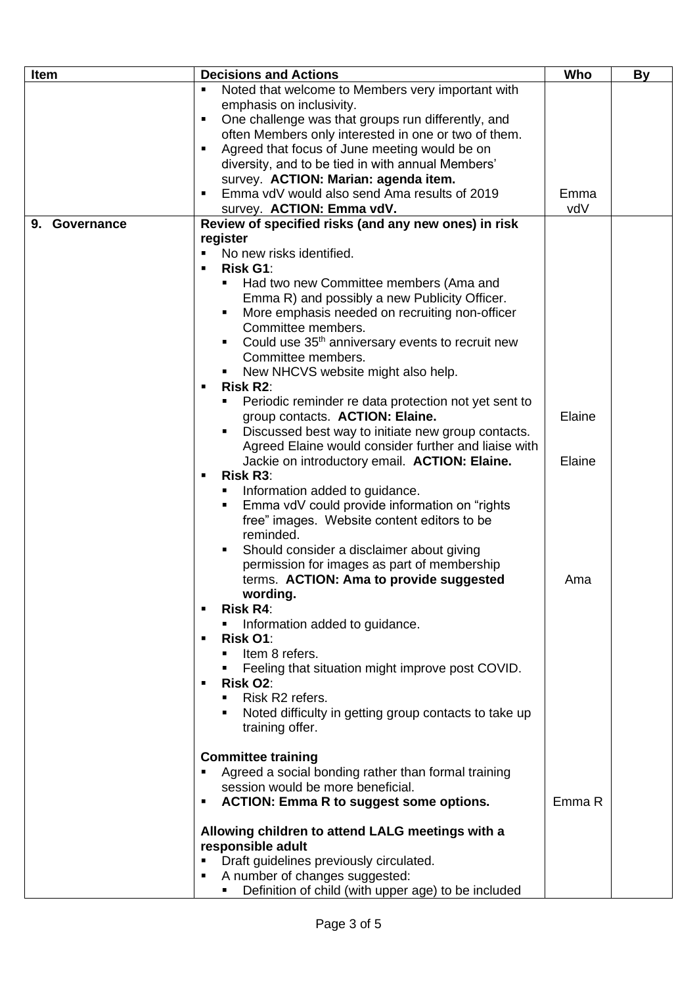| Item          | <b>Decisions and Actions</b>                                          | Who    | <b>By</b> |
|---------------|-----------------------------------------------------------------------|--------|-----------|
|               | Noted that welcome to Members very important with<br>٠                |        |           |
|               | emphasis on inclusivity.                                              |        |           |
|               | One challenge was that groups run differently, and<br>٠               |        |           |
|               | often Members only interested in one or two of them.                  |        |           |
|               | Agreed that focus of June meeting would be on<br>п                    |        |           |
|               |                                                                       |        |           |
|               | diversity, and to be tied in with annual Members'                     |        |           |
|               | survey. ACTION: Marian: agenda item.                                  |        |           |
|               | Emma vdV would also send Ama results of 2019<br>$\blacksquare$        | Emma   |           |
|               | survey. ACTION: Emma vdV.                                             | vdV    |           |
| 9. Governance | Review of specified risks (and any new ones) in risk                  |        |           |
|               | register                                                              |        |           |
|               | No new risks identified.<br>$\blacksquare$                            |        |           |
|               | <b>Risk G1:</b><br>п                                                  |        |           |
|               | Had two new Committee members (Ama and                                |        |           |
|               | Emma R) and possibly a new Publicity Officer.                         |        |           |
|               | More emphasis needed on recruiting non-officer                        |        |           |
|               | Committee members.                                                    |        |           |
|               | Could use 35 <sup>th</sup> anniversary events to recruit new          |        |           |
|               | Committee members.                                                    |        |           |
|               | New NHCVS website might also help.                                    |        |           |
|               | <b>Risk R2:</b><br>п                                                  |        |           |
|               | Periodic reminder re data protection not yet sent to                  |        |           |
|               | group contacts. ACTION: Elaine.                                       | Elaine |           |
|               | Discussed best way to initiate new group contacts.                    |        |           |
|               | Agreed Elaine would consider further and liaise with                  |        |           |
|               | Jackie on introductory email. ACTION: Elaine.                         | Elaine |           |
|               | <b>Risk R3:</b><br>п                                                  |        |           |
|               | Information added to guidance.                                        |        |           |
|               | Emma vdV could provide information on "rights"                        |        |           |
|               | free" images. Website content editors to be                           |        |           |
|               | reminded.                                                             |        |           |
|               | Should consider a disclaimer about giving                             |        |           |
|               | permission for images as part of membership                           |        |           |
|               | terms. ACTION: Ama to provide suggested                               | Ama    |           |
|               | wording.                                                              |        |           |
|               | <b>Risk R4:</b>                                                       |        |           |
|               | Information added to guidance.                                        |        |           |
|               | Risk O1:<br>п                                                         |        |           |
|               | Item 8 refers.                                                        |        |           |
|               | Feeling that situation might improve post COVID.                      |        |           |
|               | Risk O2:<br>п                                                         |        |           |
|               | Risk R <sub>2</sub> refers.<br>$\blacksquare$                         |        |           |
|               | Noted difficulty in getting group contacts to take up                 |        |           |
|               | training offer.                                                       |        |           |
|               |                                                                       |        |           |
|               | <b>Committee training</b>                                             |        |           |
|               | Agreed a social bonding rather than formal training                   |        |           |
|               | session would be more beneficial.                                     |        |           |
|               | <b>ACTION: Emma R to suggest some options.</b><br>٠                   | Emma R |           |
|               |                                                                       |        |           |
|               | Allowing children to attend LALG meetings with a<br>responsible adult |        |           |
|               | Draft guidelines previously circulated.                               |        |           |
|               | A number of changes suggested:                                        |        |           |
|               | Definition of child (with upper age) to be included                   |        |           |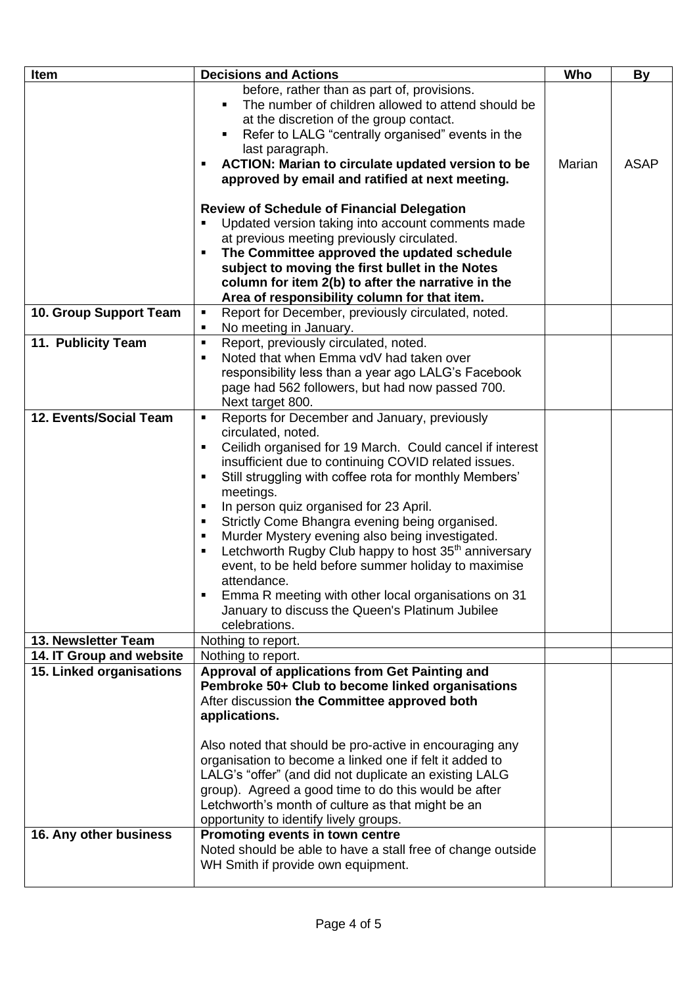| Item                     | <b>Decisions and Actions</b>                                                                                                                                                                                                                                                                                                                                                                                                                                                                                                                                                                                                                                                                             | Who    | <b>By</b>   |
|--------------------------|----------------------------------------------------------------------------------------------------------------------------------------------------------------------------------------------------------------------------------------------------------------------------------------------------------------------------------------------------------------------------------------------------------------------------------------------------------------------------------------------------------------------------------------------------------------------------------------------------------------------------------------------------------------------------------------------------------|--------|-------------|
|                          | before, rather than as part of, provisions.<br>The number of children allowed to attend should be<br>at the discretion of the group contact.<br>Refer to LALG "centrally organised" events in the<br>last paragraph.<br>ACTION: Marian to circulate updated version to be<br>approved by email and ratified at next meeting.<br><b>Review of Schedule of Financial Delegation</b><br>Updated version taking into account comments made<br>at previous meeting previously circulated.                                                                                                                                                                                                                     | Marian | <b>ASAP</b> |
|                          | The Committee approved the updated schedule                                                                                                                                                                                                                                                                                                                                                                                                                                                                                                                                                                                                                                                              |        |             |
|                          | subject to moving the first bullet in the Notes                                                                                                                                                                                                                                                                                                                                                                                                                                                                                                                                                                                                                                                          |        |             |
|                          | column for item 2(b) to after the narrative in the                                                                                                                                                                                                                                                                                                                                                                                                                                                                                                                                                                                                                                                       |        |             |
|                          | Area of responsibility column for that item.                                                                                                                                                                                                                                                                                                                                                                                                                                                                                                                                                                                                                                                             |        |             |
| 10. Group Support Team   | Report for December, previously circulated, noted.<br>$\blacksquare$<br>No meeting in January.                                                                                                                                                                                                                                                                                                                                                                                                                                                                                                                                                                                                           |        |             |
| 11. Publicity Team       | Report, previously circulated, noted.<br>$\blacksquare$<br>Noted that when Emma vdV had taken over<br>responsibility less than a year ago LALG's Facebook<br>page had 562 followers, but had now passed 700.<br>Next target 800.                                                                                                                                                                                                                                                                                                                                                                                                                                                                         |        |             |
| 12. Events/Social Team   | Reports for December and January, previously<br>$\blacksquare$<br>circulated, noted.<br>Ceilidh organised for 19 March. Could cancel if interest<br>٠<br>insufficient due to continuing COVID related issues.<br>Still struggling with coffee rota for monthly Members'<br>meetings.<br>In person quiz organised for 23 April.<br>Strictly Come Bhangra evening being organised.<br>Murder Mystery evening also being investigated.<br>Letchworth Rugby Club happy to host 35 <sup>th</sup> anniversary<br>event, to be held before summer holiday to maximise<br>attendance.<br>Emma R meeting with other local organisations on 31<br>January to discuss the Queen's Platinum Jubilee<br>celebrations. |        |             |
| 13. Newsletter Team      | Nothing to report.                                                                                                                                                                                                                                                                                                                                                                                                                                                                                                                                                                                                                                                                                       |        |             |
| 14. IT Group and website | Nothing to report.                                                                                                                                                                                                                                                                                                                                                                                                                                                                                                                                                                                                                                                                                       |        |             |
| 15. Linked organisations | Approval of applications from Get Painting and<br>Pembroke 50+ Club to become linked organisations<br>After discussion the Committee approved both<br>applications.<br>Also noted that should be pro-active in encouraging any<br>organisation to become a linked one if felt it added to<br>LALG's "offer" (and did not duplicate an existing LALG<br>group). Agreed a good time to do this would be after<br>Letchworth's month of culture as that might be an<br>opportunity to identify lively groups.                                                                                                                                                                                               |        |             |
| 16. Any other business   | Promoting events in town centre<br>Noted should be able to have a stall free of change outside<br>WH Smith if provide own equipment.                                                                                                                                                                                                                                                                                                                                                                                                                                                                                                                                                                     |        |             |